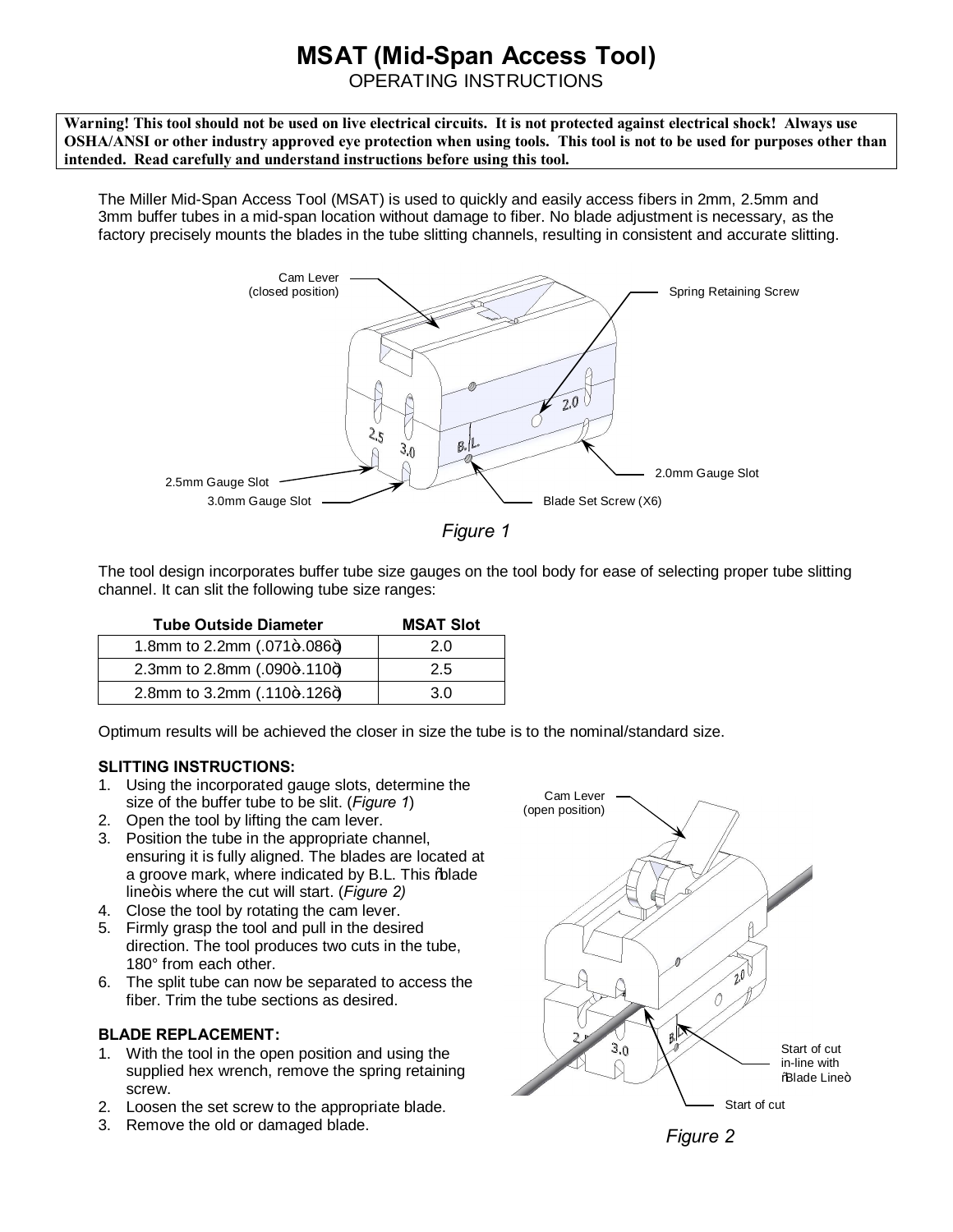## **MSAT (Mid-Span Access Tool)**

OPERATING INSTRUCTIONS

**Warning! This tool should not be used on live electrical circuits. It is not protected against electrical shock! Always use OSHA/ANSI or other industry approved eye protection when using tools. This tool is not to be used for purposes other than intended. Read carefully and understand instructions before using this tool.**

The Miller Mid-Span Access Tool (MSAT) is used to quickly and easily access fibers in 2mm, 2.5mm and 3mm buffer tubes in a mid-span location without damage to fiber. No blade adjustment is necessary, as the factory precisely mounts the blades in the tube slitting channels, resulting in consistent and accurate slitting.



*Figure 1*

The tool design incorporates buffer tube size gauges on the tool body for ease of selecting proper tube slitting channel. It can slit the following tube size ranges:

| <b>Tube Outside Diameter</b>  | <b>MSAT Slot</b> |
|-------------------------------|------------------|
| 1.8mm to 2.2mm (.071+.086+)   | 2.0              |
| 2.3mm to 2.8mm (.090+.110+)   | 2.5              |
| 2.8mm to 3.2mm $(.110+.126+)$ | 30               |

Optimum results will be achieved the closer in size the tube is to the nominal/standard size.

## **SLITTING INSTRUCTIONS:**

- 1. Using the incorporated gauge slots, determine the size of the buffer tube to be slit. (*Figure 1*)
- 2. Open the tool by lifting the cam lever.
- 3. Position the tube in the appropriate channel, ensuring it is fully aligned. The blades are located at a groove mark, where indicated by B.L. This % blade line+is where the cut will start. (*Figure 2*)
- 4. Close the tool by rotating the cam lever.
- 5. Firmly grasp the tool and pull in the desired direction. The tool produces two cuts in the tube, 180° from each other.
- 6. The split tube can now be separated to access the fiber. Trim the tube sections as desired.

## **BLADE REPLACEMENT:**

- 1. With the tool in the open position and using the supplied hex wrench, remove the spring retaining screw.
- 2. Loosen the set screw to the appropriate blade.
- 3. Remove the old or damaged blade.



*Figure 2*